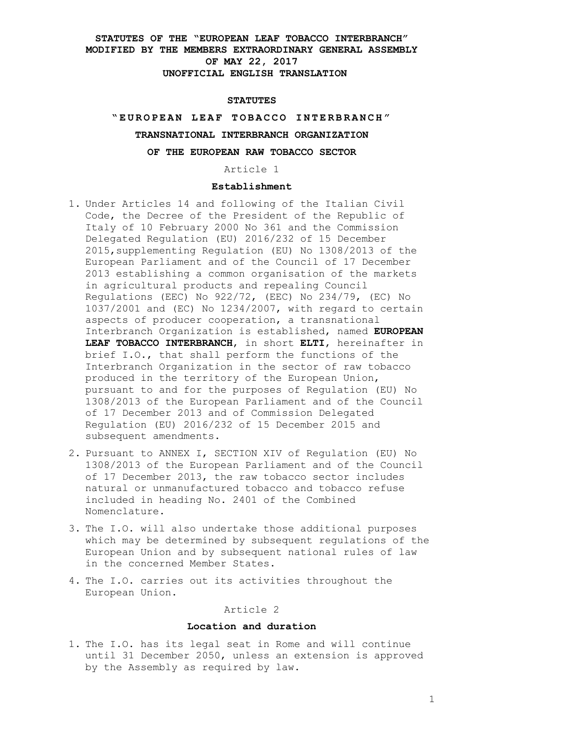#### **STATUTES**

#### **" E U R O P E A N L E A F T O B A C C O I N T E R B R A N C H "**

### **TRANSNATIONAL INTERBRANCH ORGANIZATION**

## **OF THE EUROPEAN RAW TOBACCO SECTOR**

Article 1

## **Establishment**

- 1. Under Articles 14 and following of the Italian Civil Code, the Decree of the President of the Republic of Italy of 10 February 2000 No 361 and the Commission Delegated Regulation (EU) 2016/232 of 15 December 2015,supplementing Regulation (EU) No 1308/2013 of the European Parliament and of the Council of 17 December 2013 establishing a common organisation of the markets in agricultural products and repealing Council Regulations (EEC) No 922/72, (EEC) No 234/79, (EC) No 1037/2001 and (EC) No 1234/2007, with regard to certain aspects of producer cooperation, a transnational Interbranch Organization is established, named **EUROPEAN LEAF TOBACCO INTERBRANCH**, in short **ELTI**, hereinafter in brief I.O., that shall perform the functions of the Interbranch Organization in the sector of raw tobacco produced in the territory of the European Union, pursuant to and for the purposes of Regulation (EU) No 1308/2013 of the European Parliament and of the Council of 17 December 2013 and of Commission Delegated Regulation (EU) 2016/232 of 15 December 2015 and subsequent amendments.
- 2. Pursuant to ANNEX I, SECTION XIV of Regulation (EU) No 1308/2013 of the European Parliament and of the Council of 17 December 2013, the raw tobacco sector includes natural or unmanufactured tobacco and tobacco refuse included in heading No. 2401 of the Combined Nomenclature.
- 3. The I.O. will also undertake those additional purposes which may be determined by subsequent regulations of the European Union and by subsequent national rules of law in the concerned Member States.
- 4. The I.O. carries out its activities throughout the European Union.

## Article 2

#### **Location and duration**

1. The I.O. has its legal seat in Rome and will continue until 31 December 2050, unless an extension is approved by the Assembly as required by law.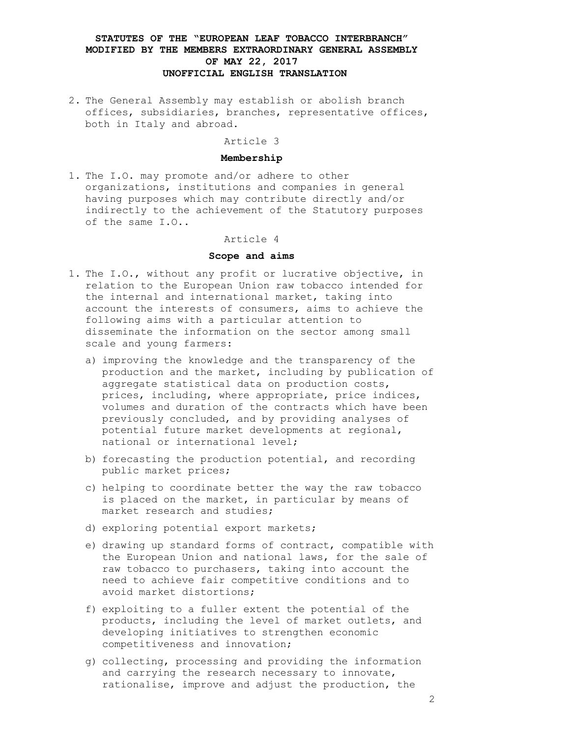2. The General Assembly may establish or abolish branch offices, subsidiaries, branches, representative offices, both in Italy and abroad.

### Article 3

### **Membership**

1. The I.O. may promote and/or adhere to other organizations, institutions and companies in general having purposes which may contribute directly and/or indirectly to the achievement of the Statutory purposes of the same I.O..

#### Article 4

### **Scope and aims**

- 1. The I.O., without any profit or lucrative objective, in relation to the European Union raw tobacco intended for the internal and international market, taking into account the interests of consumers, aims to achieve the following aims with a particular attention to disseminate the information on the sector among small scale and young farmers:
	- a) improving the knowledge and the transparency of the production and the market, including by publication of aggregate statistical data on production costs, prices, including, where appropriate, price indices, volumes and duration of the contracts which have been previously concluded, and by providing analyses of potential future market developments at regional, national or international level;
	- b) forecasting the production potential, and recording public market prices;
	- c) helping to coordinate better the way the raw tobacco is placed on the market, in particular by means of market research and studies;
	- d) exploring potential export markets;
	- e) drawing up standard forms of contract, compatible with the European Union and national laws, for the sale of raw tobacco to purchasers, taking into account the need to achieve fair competitive conditions and to avoid market distortions;
	- f) exploiting to a fuller extent the potential of the products, including the level of market outlets, and developing initiatives to strengthen economic competitiveness and innovation;
	- g) collecting, processing and providing the information and carrying the research necessary to innovate, rationalise, improve and adjust the production, the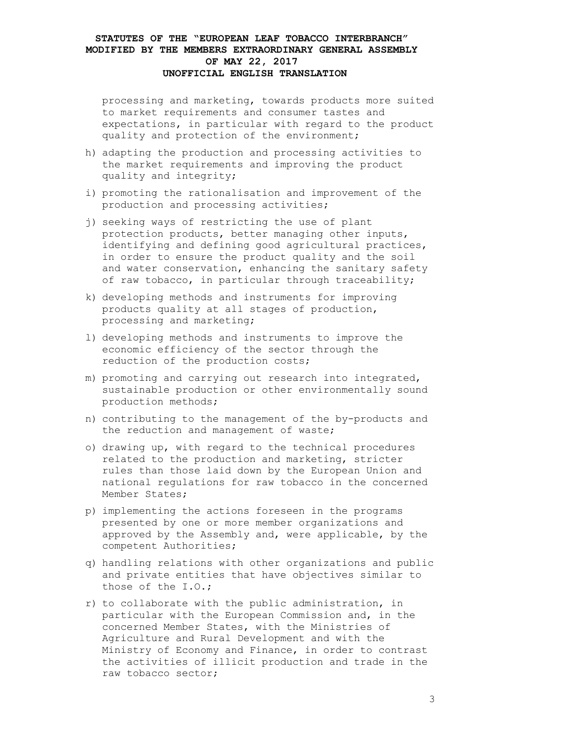processing and marketing, towards products more suited to market requirements and consumer tastes and expectations, in particular with regard to the product quality and protection of the environment;

- h) adapting the production and processing activities to the market requirements and improving the product quality and integrity;
- i) promoting the rationalisation and improvement of the production and processing activities;
- j) seeking ways of restricting the use of plant protection products, better managing other inputs, identifying and defining good agricultural practices, in order to ensure the product quality and the soil and water conservation, enhancing the sanitary safety of raw tobacco, in particular through traceability;
- k) developing methods and instruments for improving products quality at all stages of production, processing and marketing;
- l) developing methods and instruments to improve the economic efficiency of the sector through the reduction of the production costs;
- m) promoting and carrying out research into integrated, sustainable production or other environmentally sound production methods;
- n) contributing to the management of the by-products and the reduction and management of waste;
- o) drawing up, with regard to the technical procedures related to the production and marketing, stricter rules than those laid down by the European Union and national regulations for raw tobacco in the concerned Member States;
- p) implementing the actions foreseen in the programs presented by one or more member organizations and approved by the Assembly and, were applicable, by the competent Authorities;
- q) handling relations with other organizations and public and private entities that have objectives similar to those of the I.O.;
- r) to collaborate with the public administration, in particular with the European Commission and, in the concerned Member States, with the Ministries of Agriculture and Rural Development and with the Ministry of Economy and Finance, in order to contrast the activities of illicit production and trade in the raw tobacco sector;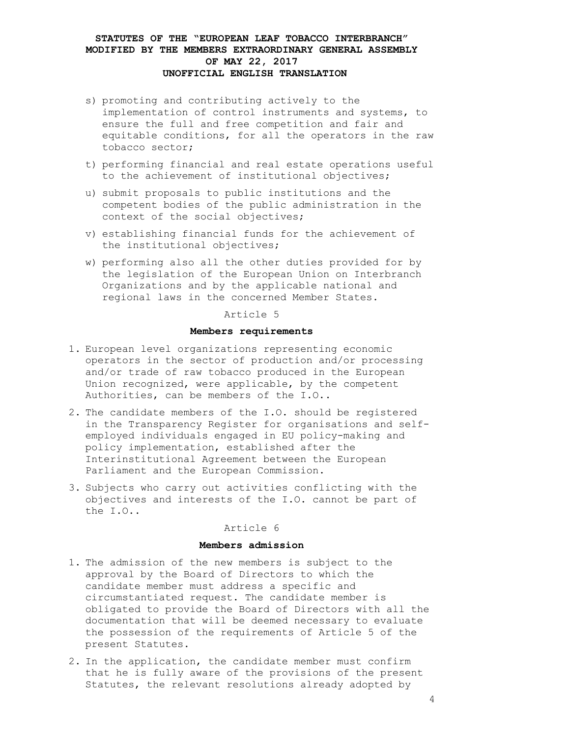- s) promoting and contributing actively to the implementation of control instruments and systems, to ensure the full and free competition and fair and equitable conditions, for all the operators in the raw tobacco sector;
- t) performing financial and real estate operations useful to the achievement of institutional objectives;
- u) submit proposals to public institutions and the competent bodies of the public administration in the context of the social objectives;
- v) establishing financial funds for the achievement of the institutional objectives;
- w) performing also all the other duties provided for by the legislation of the European Union on Interbranch Organizations and by the applicable national and regional laws in the concerned Member States.

Article 5

#### **Members requirements**

- 1. European level organizations representing economic operators in the sector of production and/or processing and/or trade of raw tobacco produced in the European Union recognized, were applicable, by the competent Authorities, can be members of the I.O..
- 2. The candidate members of the I.O. should be registered in the Transparency Register for organisations and selfemployed individuals engaged in EU policy-making and policy implementation, established after the Interinstitutional Agreement between the European Parliament and the European Commission.
- 3. Subjects who carry out activities conflicting with the objectives and interests of the I.O. cannot be part of the I.O..

#### Article 6

#### **Members admission**

- 1. The admission of the new members is subject to the approval by the Board of Directors to which the candidate member must address a specific and circumstantiated request. The candidate member is obligated to provide the Board of Directors with all the documentation that will be deemed necessary to evaluate the possession of the requirements of Article 5 of the present Statutes.
- 2. In the application, the candidate member must confirm that he is fully aware of the provisions of the present Statutes, the relevant resolutions already adopted by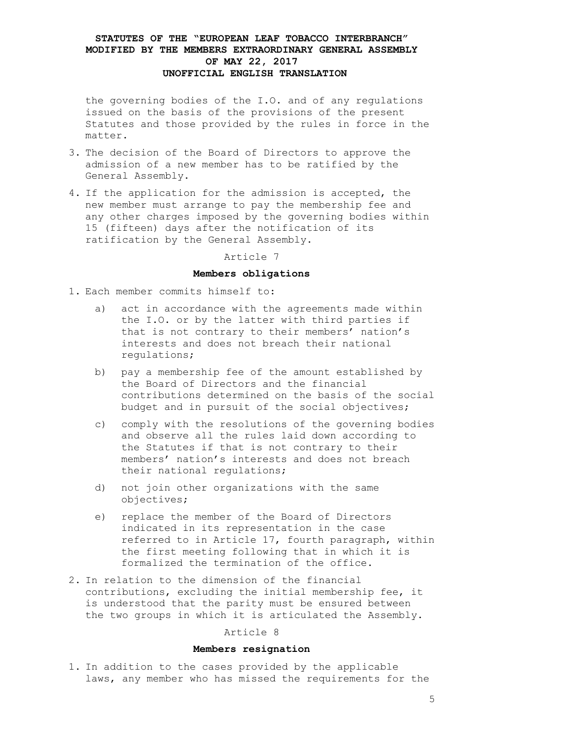the governing bodies of the I.O. and of any regulations issued on the basis of the provisions of the present Statutes and those provided by the rules in force in the matter.

- 3. The decision of the Board of Directors to approve the admission of a new member has to be ratified by the General Assembly.
- 4. If the application for the admission is accepted, the new member must arrange to pay the membership fee and any other charges imposed by the governing bodies within 15 (fifteen) days after the notification of its ratification by the General Assembly.

Article 7

### **Members obligations**

- 1. Each member commits himself to:
	- a) act in accordance with the agreements made within the I.O. or by the latter with third parties if that is not contrary to their members' nation's interests and does not breach their national regulations;
	- b) pay a membership fee of the amount established by the Board of Directors and the financial contributions determined on the basis of the social budget and in pursuit of the social objectives;
	- c) comply with the resolutions of the governing bodies and observe all the rules laid down according to the Statutes if that is not contrary to their members' nation's interests and does not breach their national regulations;
	- d) not join other organizations with the same objectives;
	- e) replace the member of the Board of Directors indicated in its representation in the case referred to in Article 17, fourth paragraph, within the first meeting following that in which it is formalized the termination of the office.
- 2. In relation to the dimension of the financial contributions, excluding the initial membership fee, it is understood that the parity must be ensured between the two groups in which it is articulated the Assembly.

### Article 8

#### **Members resignation**

1. In addition to the cases provided by the applicable laws, any member who has missed the requirements for the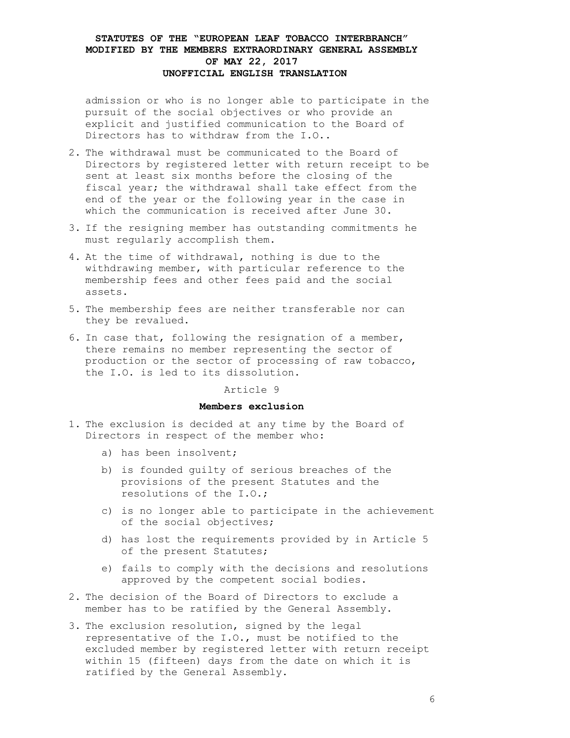admission or who is no longer able to participate in the pursuit of the social objectives or who provide an explicit and justified communication to the Board of Directors has to withdraw from the I.O..

- 2. The withdrawal must be communicated to the Board of Directors by registered letter with return receipt to be sent at least six months before the closing of the fiscal year; the withdrawal shall take effect from the end of the year or the following year in the case in which the communication is received after June 30.
- 3. If the resigning member has outstanding commitments he must regularly accomplish them.
- 4. At the time of withdrawal, nothing is due to the withdrawing member, with particular reference to the membership fees and other fees paid and the social assets.
- 5. The membership fees are neither transferable nor can they be revalued.
- 6. In case that, following the resignation of a member, there remains no member representing the sector of production or the sector of processing of raw tobacco, the I.O. is led to its dissolution.

Article 9

### **Members exclusion**

- 1. The exclusion is decided at any time by the Board of Directors in respect of the member who:
	- a) has been insolvent;
	- b) is founded guilty of serious breaches of the provisions of the present Statutes and the resolutions of the I.O.;
	- c) is no longer able to participate in the achievement of the social objectives;
	- d) has lost the requirements provided by in Article 5 of the present Statutes;
	- e) fails to comply with the decisions and resolutions approved by the competent social bodies.
- 2. The decision of the Board of Directors to exclude a member has to be ratified by the General Assembly.
- 3. The exclusion resolution, signed by the legal representative of the I.O., must be notified to the excluded member by registered letter with return receipt within 15 (fifteen) days from the date on which it is ratified by the General Assembly.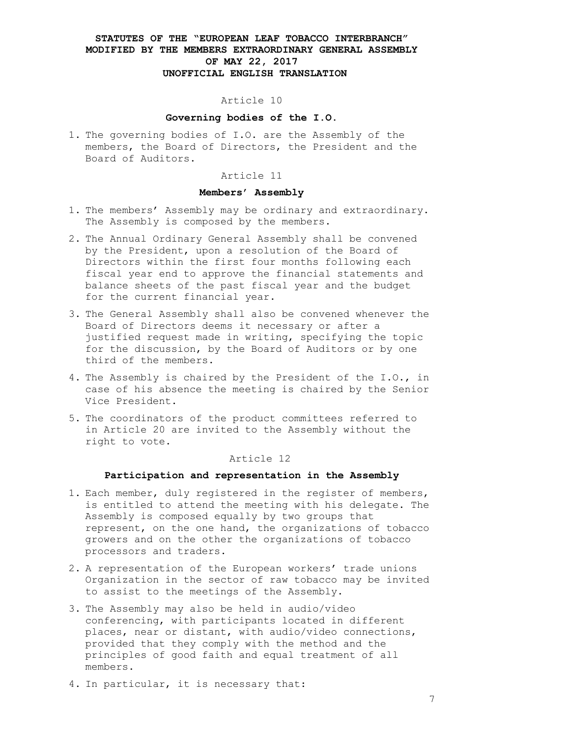### Article 10

## **Governing bodies of the I.O.**

1. The governing bodies of I.O. are the Assembly of the members, the Board of Directors, the President and the Board of Auditors.

### Article 11

### **Members' Assembly**

- 1. The members' Assembly may be ordinary and extraordinary. The Assembly is composed by the members.
- 2. The Annual Ordinary General Assembly shall be convened by the President, upon a resolution of the Board of Directors within the first four months following each fiscal year end to approve the financial statements and balance sheets of the past fiscal year and the budget for the current financial year.
- 3. The General Assembly shall also be convened whenever the Board of Directors deems it necessary or after a justified request made in writing, specifying the topic for the discussion, by the Board of Auditors or by one third of the members.
- 4. The Assembly is chaired by the President of the I.O., in case of his absence the meeting is chaired by the Senior Vice President.
- 5. The coordinators of the product committees referred to in Article 20 are invited to the Assembly without the right to vote.

### Article 12

### **Participation and representation in the Assembly**

- 1. Each member, duly registered in the register of members, is entitled to attend the meeting with his delegate. The Assembly is composed equally by two groups that represent, on the one hand, the organizations of tobacco growers and on the other the organizations of tobacco processors and traders.
- 2. A representation of the European workers' trade unions Organization in the sector of raw tobacco may be invited to assist to the meetings of the Assembly.
- 3. The Assembly may also be held in audio/video conferencing, with participants located in different places, near or distant, with audio/video connections, provided that they comply with the method and the principles of good faith and equal treatment of all members.
- 4. In particular, it is necessary that: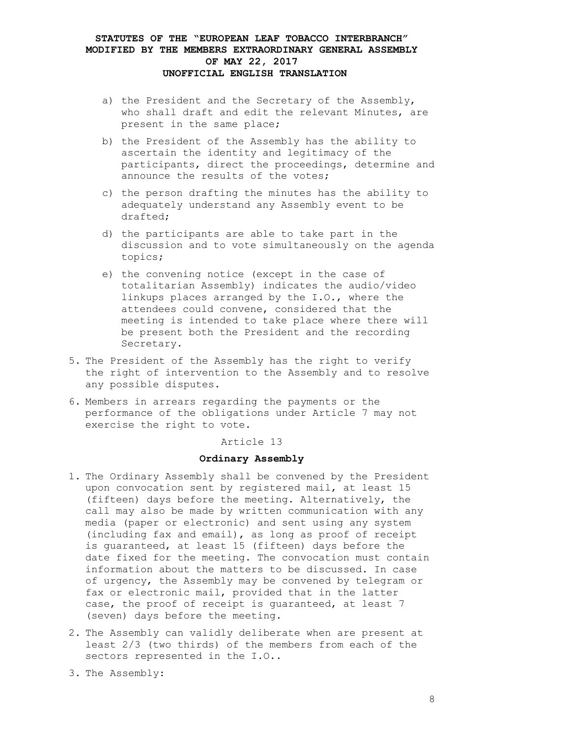- a) the President and the Secretary of the Assembly, who shall draft and edit the relevant Minutes, are present in the same place;
- b) the President of the Assembly has the ability to ascertain the identity and legitimacy of the participants, direct the proceedings, determine and announce the results of the votes;
- c) the person drafting the minutes has the ability to adequately understand any Assembly event to be drafted;
- d) the participants are able to take part in the discussion and to vote simultaneously on the agenda topics;
- e) the convening notice (except in the case of totalitarian Assembly) indicates the audio/video linkups places arranged by the I.O., where the attendees could convene, considered that the meeting is intended to take place where there will be present both the President and the recording Secretary.
- 5. The President of the Assembly has the right to verify the right of intervention to the Assembly and to resolve any possible disputes.
- 6. Members in arrears regarding the payments or the performance of the obligations under Article 7 may not exercise the right to vote.

Article 13

### **Ordinary Assembly**

- 1. The Ordinary Assembly shall be convened by the President upon convocation sent by registered mail, at least 15 (fifteen) days before the meeting. Alternatively, the call may also be made by written communication with any media (paper or electronic) and sent using any system (including fax and email), as long as proof of receipt is guaranteed, at least 15 (fifteen) days before the date fixed for the meeting. The convocation must contain information about the matters to be discussed. In case of urgency, the Assembly may be convened by telegram or fax or electronic mail, provided that in the latter case, the proof of receipt is guaranteed, at least 7 (seven) days before the meeting.
- 2. The Assembly can validly deliberate when are present at least 2/3 (two thirds) of the members from each of the sectors represented in the I.O..
- 3. The Assembly: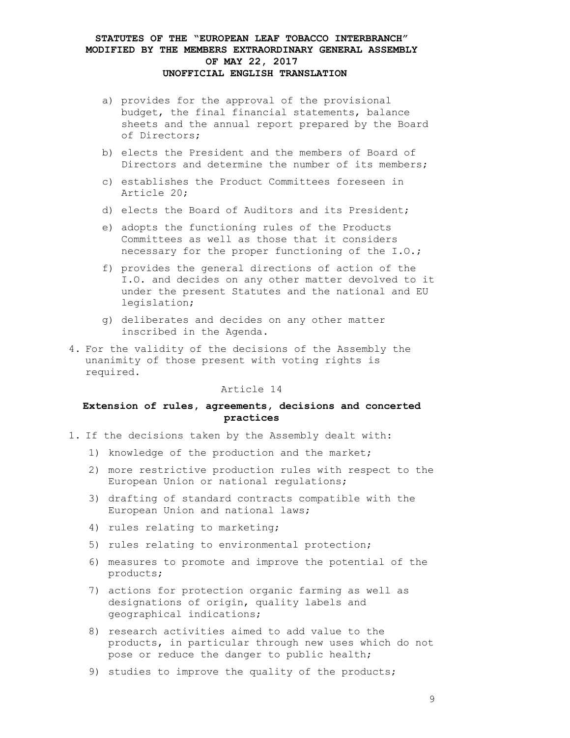- a) provides for the approval of the provisional budget, the final financial statements, balance sheets and the annual report prepared by the Board of Directors;
- b) elects the President and the members of Board of Directors and determine the number of its members;
- c) establishes the Product Committees foreseen in Article 20;
- d) elects the Board of Auditors and its President;
- e) adopts the functioning rules of the Products Committees as well as those that it considers necessary for the proper functioning of the I.O.;
- f) provides the general directions of action of the I.O. and decides on any other matter devolved to it under the present Statutes and the national and EU legislation;
- g) deliberates and decides on any other matter inscribed in the Agenda.
- 4. For the validity of the decisions of the Assembly the unanimity of those present with voting rights is required.

### Article 14

## **Extension of rules, agreements, decisions and concerted practices**

- 1. If the decisions taken by the Assembly dealt with:
	- 1) knowledge of the production and the market;
	- 2) more restrictive production rules with respect to the European Union or national regulations;
	- 3) drafting of standard contracts compatible with the European Union and national laws;
	- 4) rules relating to marketing;
	- 5) rules relating to environmental protection;
	- 6) measures to promote and improve the potential of the products;
	- 7) actions for protection organic farming as well as designations of origin, quality labels and geographical indications;
	- 8) research activities aimed to add value to the products, in particular through new uses which do not pose or reduce the danger to public health;
	- 9) studies to improve the quality of the products;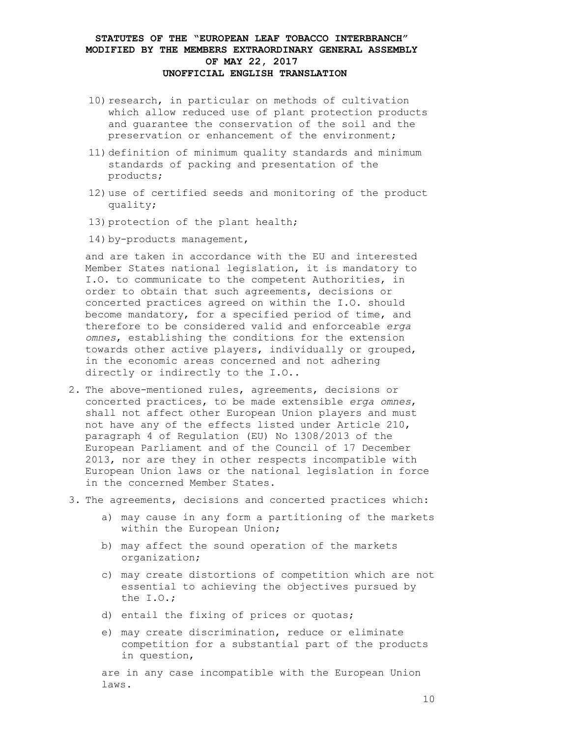- 10) research, in particular on methods of cultivation which allow reduced use of plant protection products and guarantee the conservation of the soil and the preservation or enhancement of the environment;
- 11) definition of minimum quality standards and minimum standards of packing and presentation of the products;
- 12)use of certified seeds and monitoring of the product quality;
- 13) protection of the plant health;
- 14) by-products management,

and are taken in accordance with the EU and interested Member States national legislation, it is mandatory to I.O. to communicate to the competent Authorities, in order to obtain that such agreements, decisions or concerted practices agreed on within the I.O. should become mandatory, for a specified period of time, and therefore to be considered valid and enforceable *erga omnes*, establishing the conditions for the extension towards other active players, individually or grouped, in the economic areas concerned and not adhering directly or indirectly to the I.O..

- 2. The above-mentioned rules, agreements, decisions or concerted practices, to be made extensible *erga omnes*, shall not affect other European Union players and must not have any of the effects listed under Article 210, paragraph 4 of Regulation (EU) No 1308/2013 of the European Parliament and of the Council of 17 December 2013, nor are they in other respects incompatible with European Union laws or the national legislation in force in the concerned Member States.
- 3. The agreements, decisions and concerted practices which:
	- a) may cause in any form a partitioning of the markets within the European Union;
	- b) may affect the sound operation of the markets organization;
	- c) may create distortions of competition which are not essential to achieving the objectives pursued by the I.O.;
	- d) entail the fixing of prices or quotas;
	- e) may create discrimination, reduce or eliminate competition for a substantial part of the products in question,

are in any case incompatible with the European Union laws.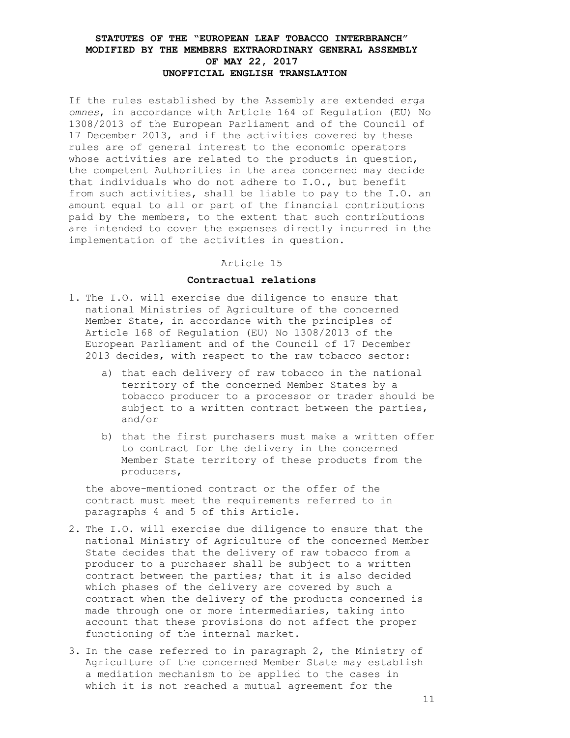If the rules established by the Assembly are extended *erga omnes*, in accordance with Article 164 of Regulation (EU) No 1308/2013 of the European Parliament and of the Council of 17 December 2013, and if the activities covered by these rules are of general interest to the economic operators whose activities are related to the products in question, the competent Authorities in the area concerned may decide that individuals who do not adhere to I.O., but benefit from such activities, shall be liable to pay to the I.O. an amount equal to all or part of the financial contributions paid by the members, to the extent that such contributions are intended to cover the expenses directly incurred in the implementation of the activities in question.

### Article 15

# **Contractual relations**

- 1. The I.O. will exercise due diligence to ensure that national Ministries of Agriculture of the concerned Member State, in accordance with the principles of Article 168 of Regulation (EU) No 1308/2013 of the European Parliament and of the Council of 17 December 2013 decides, with respect to the raw tobacco sector:
	- a) that each delivery of raw tobacco in the national territory of the concerned Member States by a tobacco producer to a processor or trader should be subject to a written contract between the parties, and/or
	- b) that the first purchasers must make a written offer to contract for the delivery in the concerned Member State territory of these products from the producers,

the above-mentioned contract or the offer of the contract must meet the requirements referred to in paragraphs 4 and 5 of this Article.

- 2. The I.O. will exercise due diligence to ensure that the national Ministry of Agriculture of the concerned Member State decides that the delivery of raw tobacco from a producer to a purchaser shall be subject to a written contract between the parties; that it is also decided which phases of the delivery are covered by such a contract when the delivery of the products concerned is made through one or more intermediaries, taking into account that these provisions do not affect the proper functioning of the internal market.
- 3. In the case referred to in paragraph 2, the Ministry of Agriculture of the concerned Member State may establish a mediation mechanism to be applied to the cases in which it is not reached a mutual agreement for the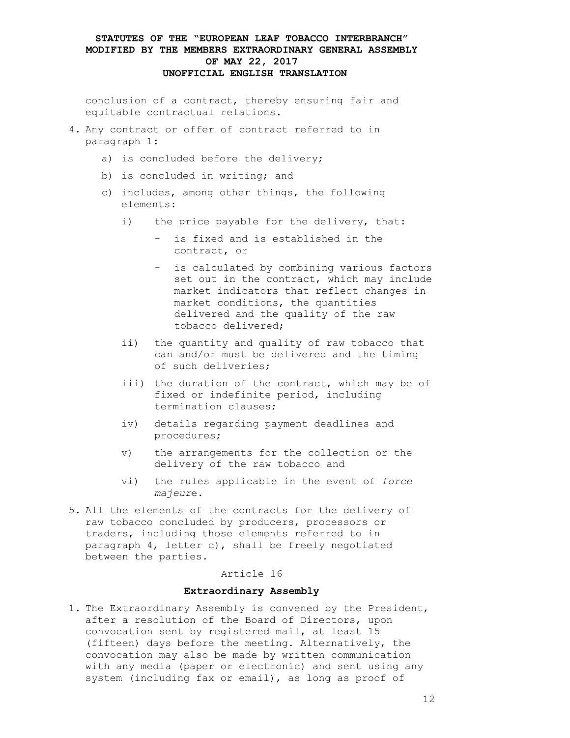conclusion of a contract, thereby ensuring fair and equitable contractual relations.

- 4. Any contract or offer of contract referred to in paragraph 1:
	- a) is concluded before the delivery;
	- b) is concluded in writing; and
	- c) includes, among other things, the following elements:
		- i) the price payable for the delivery, that:
			- is fixed and is established in the contract, or
			- is calculated by combining various factors set out in the contract, which may include market indicators that reflect changes in market conditions, the quantities delivered and the quality of the raw tobacco delivered;
		- ii) the quantity and quality of raw tobacco that can and/or must be delivered and the timing of such deliveries;
		- iii) the duration of the contract, which may be of fixed or indefinite period, including termination clauses;
		- iv) details regarding payment deadlines and procedures;
		- v) the arrangements for the collection or the delivery of the raw tobacco and
		- vi) the rules applicable in the event of *force majeur*e.
- 5. All the elements of the contracts for the delivery of raw tobacco concluded by producers, processors or traders, including those elements referred to in paragraph 4, letter c), shall be freely negotiated between the parties.

## Article 16

#### **Extraordinary Assembly**

1. The Extraordinary Assembly is convened by the President, after a resolution of the Board of Directors, upon convocation sent by registered mail, at least 15 (fifteen) days before the meeting. Alternatively, the convocation may also be made by written communication with any media (paper or electronic) and sent using any system (including fax or email), as long as proof of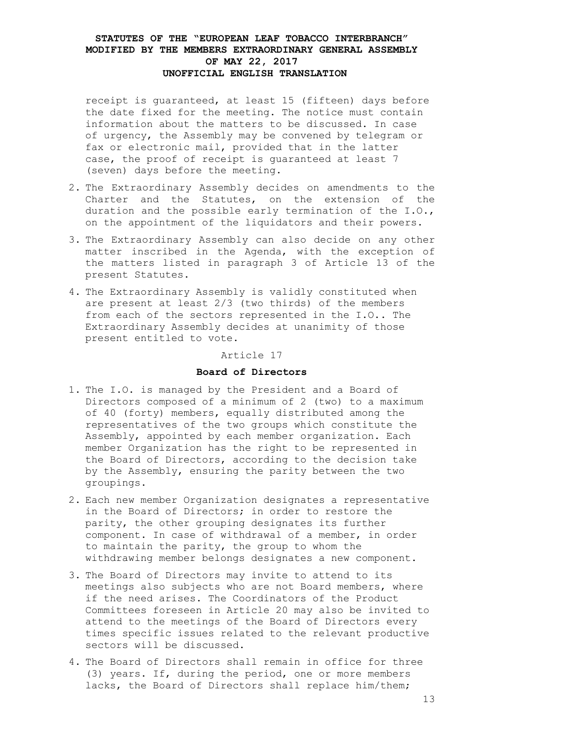receipt is guaranteed, at least 15 (fifteen) days before the date fixed for the meeting. The notice must contain information about the matters to be discussed. In case of urgency, the Assembly may be convened by telegram or fax or electronic mail, provided that in the latter case, the proof of receipt is guaranteed at least 7 (seven) days before the meeting.

- 2. The Extraordinary Assembly decides on amendments to the Charter and the Statutes, on the extension of the duration and the possible early termination of the I.O., on the appointment of the liquidators and their powers.
- 3. The Extraordinary Assembly can also decide on any other matter inscribed in the Agenda, with the exception of the matters listed in paragraph 3 of Article 13 of the present Statutes.
- 4. The Extraordinary Assembly is validly constituted when are present at least 2/3 (two thirds) of the members from each of the sectors represented in the I.O.. The Extraordinary Assembly decides at unanimity of those present entitled to vote.

#### Article 17

# **Board of Directors**

- 1. The I.O. is managed by the President and a Board of Directors composed of a minimum of 2 (two) to a maximum of 40 (forty) members, equally distributed among the representatives of the two groups which constitute the Assembly, appointed by each member organization. Each member Organization has the right to be represented in the Board of Directors, according to the decision take by the Assembly, ensuring the parity between the two groupings.
- 2. Each new member Organization designates a representative in the Board of Directors; in order to restore the parity, the other grouping designates its further component. In case of withdrawal of a member, in order to maintain the parity, the group to whom the withdrawing member belongs designates a new component.
- 3. The Board of Directors may invite to attend to its meetings also subjects who are not Board members, where if the need arises. The Coordinators of the Product Committees foreseen in Article 20 may also be invited to attend to the meetings of the Board of Directors every times specific issues related to the relevant productive sectors will be discussed.
- 4. The Board of Directors shall remain in office for three (3) years. If, during the period, one or more members lacks, the Board of Directors shall replace him/them;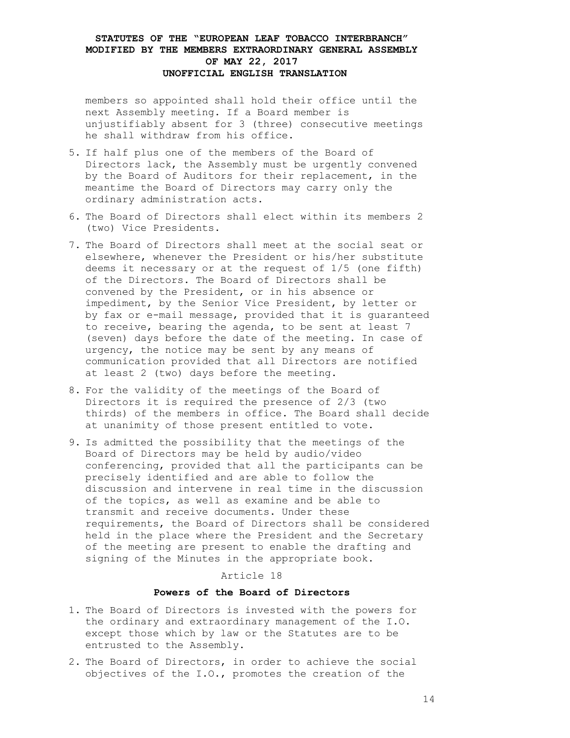members so appointed shall hold their office until the next Assembly meeting. If a Board member is unjustifiably absent for 3 (three) consecutive meetings he shall withdraw from his office.

- 5. If half plus one of the members of the Board of Directors lack, the Assembly must be urgently convened by the Board of Auditors for their replacement, in the meantime the Board of Directors may carry only the ordinary administration acts.
- 6. The Board of Directors shall elect within its members 2 (two) Vice Presidents.
- 7. The Board of Directors shall meet at the social seat or elsewhere, whenever the President or his/her substitute deems it necessary or at the request of 1/5 (one fifth) of the Directors. The Board of Directors shall be convened by the President, or in his absence or impediment, by the Senior Vice President, by letter or by fax or e-mail message, provided that it is guaranteed to receive, bearing the agenda, to be sent at least 7 (seven) days before the date of the meeting. In case of urgency, the notice may be sent by any means of communication provided that all Directors are notified at least 2 (two) days before the meeting.
- 8. For the validity of the meetings of the Board of Directors it is required the presence of 2/3 (two thirds) of the members in office. The Board shall decide at unanimity of those present entitled to vote.
- 9. Is admitted the possibility that the meetings of the Board of Directors may be held by audio/video conferencing, provided that all the participants can be precisely identified and are able to follow the discussion and intervene in real time in the discussion of the topics, as well as examine and be able to transmit and receive documents. Under these requirements, the Board of Directors shall be considered held in the place where the President and the Secretary of the meeting are present to enable the drafting and signing of the Minutes in the appropriate book.

### Article 18

### **Powers of the Board of Directors**

- 1. The Board of Directors is invested with the powers for the ordinary and extraordinary management of the I.O. except those which by law or the Statutes are to be entrusted to the Assembly.
- 2. The Board of Directors, in order to achieve the social objectives of the I.O., promotes the creation of the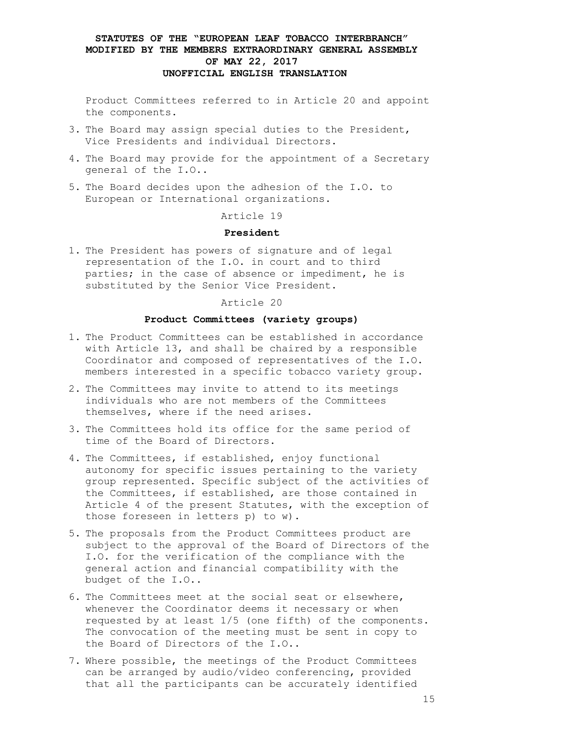Product Committees referred to in Article 20 and appoint the components.

- 3. The Board may assign special duties to the President, Vice Presidents and individual Directors.
- 4. The Board may provide for the appointment of a Secretary general of the I.O..
- 5. The Board decides upon the adhesion of the I.O. to European or International organizations.

Article 19

#### **President**

1. The President has powers of signature and of legal representation of the I.O. in court and to third parties; in the case of absence or impediment, he is substituted by the Senior Vice President.

#### Article 20

#### **Product Committees (variety groups)**

- 1. The Product Committees can be established in accordance with Article 13, and shall be chaired by a responsible Coordinator and composed of representatives of the I.O. members interested in a specific tobacco variety group.
- 2. The Committees may invite to attend to its meetings individuals who are not members of the Committees themselves, where if the need arises.
- 3. The Committees hold its office for the same period of time of the Board of Directors.
- 4. The Committees, if established, enjoy functional autonomy for specific issues pertaining to the variety group represented. Specific subject of the activities of the Committees, if established, are those contained in Article 4 of the present Statutes, with the exception of those foreseen in letters p) to w).
- 5. The proposals from the Product Committees product are subject to the approval of the Board of Directors of the I.O. for the verification of the compliance with the general action and financial compatibility with the budget of the I.O..
- 6. The Committees meet at the social seat or elsewhere, whenever the Coordinator deems it necessary or when requested by at least 1/5 (one fifth) of the components. The convocation of the meeting must be sent in copy to the Board of Directors of the I.O..
- 7. Where possible, the meetings of the Product Committees can be arranged by audio/video conferencing, provided that all the participants can be accurately identified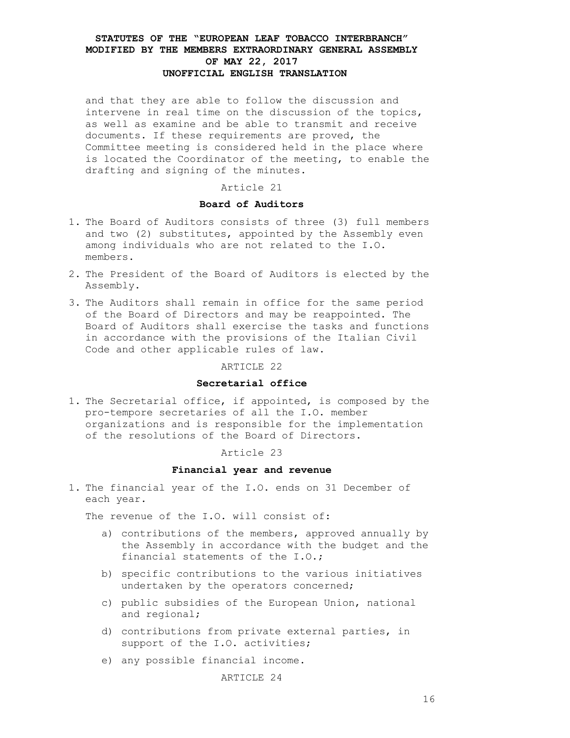and that they are able to follow the discussion and intervene in real time on the discussion of the topics, as well as examine and be able to transmit and receive documents. If these requirements are proved, the Committee meeting is considered held in the place where is located the Coordinator of the meeting, to enable the drafting and signing of the minutes.

### Article 21

### **Board of Auditors**

- 1. The Board of Auditors consists of three (3) full members and two (2) substitutes, appointed by the Assembly even among individuals who are not related to the I.O. members.
- 2. The President of the Board of Auditors is elected by the Assembly.
- 3. The Auditors shall remain in office for the same period of the Board of Directors and may be reappointed. The Board of Auditors shall exercise the tasks and functions in accordance with the provisions of the Italian Civil Code and other applicable rules of law.

#### ARTICLE 22

### **Secretarial office**

1. The Secretarial office, if appointed, is composed by the pro-tempore secretaries of all the I.O. member organizations and is responsible for the implementation of the resolutions of the Board of Directors.

#### Article 23

#### **Financial year and revenue**

1. The financial year of the I.O. ends on 31 December of each year.

The revenue of the I.O. will consist of:

- a) contributions of the members, approved annually by the Assembly in accordance with the budget and the financial statements of the I.O.;
- b) specific contributions to the various initiatives undertaken by the operators concerned;
- c) public subsidies of the European Union, national and regional;
- d) contributions from private external parties, in support of the I.O. activities;
- e) any possible financial income.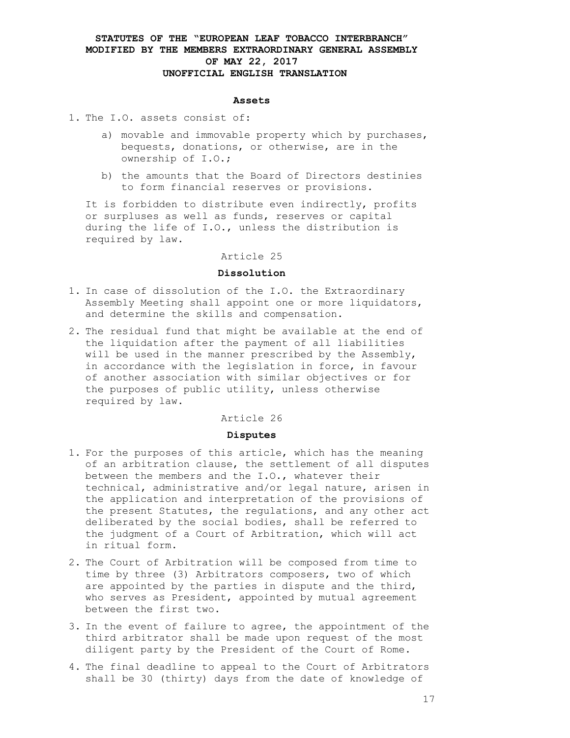#### **Assets**

- 1. The I.O. assets consist of:
	- a) movable and immovable property which by purchases, bequests, donations, or otherwise, are in the ownership of I.O.;
	- b) the amounts that the Board of Directors destinies to form financial reserves or provisions.

It is forbidden to distribute even indirectly, profits or surpluses as well as funds, reserves or capital during the life of I.O., unless the distribution is required by law.

### Article 25

#### **Dissolution**

- 1. In case of dissolution of the I.O. the Extraordinary Assembly Meeting shall appoint one or more liquidators, and determine the skills and compensation.
- 2. The residual fund that might be available at the end of the liquidation after the payment of all liabilities will be used in the manner prescribed by the Assembly, in accordance with the legislation in force, in favour of another association with similar objectives or for the purposes of public utility, unless otherwise required by law.

#### Article 26

#### **Disputes**

- 1. For the purposes of this article, which has the meaning of an arbitration clause, the settlement of all disputes between the members and the I.O., whatever their technical, administrative and/or legal nature, arisen in the application and interpretation of the provisions of the present Statutes, the regulations, and any other act deliberated by the social bodies, shall be referred to the judgment of a Court of Arbitration, which will act in ritual form.
- 2. The Court of Arbitration will be composed from time to time by three (3) Arbitrators composers, two of which are appointed by the parties in dispute and the third, who serves as President, appointed by mutual agreement between the first two.
- 3. In the event of failure to agree, the appointment of the third arbitrator shall be made upon request of the most diligent party by the President of the Court of Rome.
- 4. The final deadline to appeal to the Court of Arbitrators shall be 30 (thirty) days from the date of knowledge of